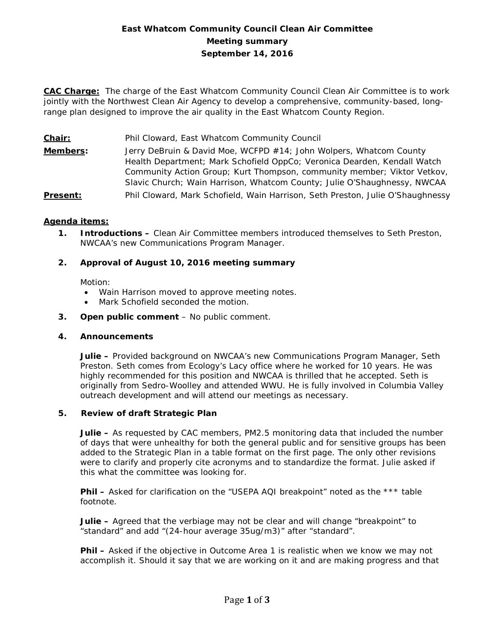# **East Whatcom Community Council Clean Air Committee Meeting summary September 14, 2016**

**CAC Charge:** The charge of the East Whatcom Community Council Clean Air Committee is to work jointly with the Northwest Clean Air Agency to develop a comprehensive, community-based, longrange plan designed to improve the air quality in the East Whatcom County Region.

**Chair:** Phil Cloward, East Whatcom Community Council

**Members:** Jerry DeBruin & David Moe, WCFPD #14; John Wolpers, Whatcom County Health Department; Mark Schofield OppCo; Veronica Dearden, Kendall Watch Community Action Group; Kurt Thompson, community member; Viktor Vetkov, Slavic Church; Wain Harrison, Whatcom County; Julie O'Shaughnessy, NWCAA

# **Present:** Phil Cloward, Mark Schofield, Wain Harrison, Seth Preston, Julie O'Shaughnessy

#### **Agenda items:**

**1. Introductions –** Clean Air Committee members introduced themselves to Seth Preston, NWCAA's new Communications Program Manager.

# **2. Approval of August 10, 2016 meeting summary**

Motion:

- Wain Harrison moved to approve meeting notes.
- Mark Schofield seconded the motion.
- **3. Open public comment**  No public comment.

#### **4. Announcements**

**Julie –** Provided background on NWCAA's new Communications Program Manager, Seth Preston. Seth comes from Ecology's Lacy office where he worked for 10 years. He was highly recommended for this position and NWCAA is thrilled that he accepted. Seth is originally from Sedro-Woolley and attended WWU. He is fully involved in Columbia Valley outreach development and will attend our meetings as necessary.

#### **5. Review of draft Strategic Plan**

**Julie –** As requested by CAC members, PM2.5 monitoring data that included the number of days that were unhealthy for both the general public and for sensitive groups has been added to the Strategic Plan in a table format on the first page. The only other revisions were to clarify and properly cite acronyms and to standardize the format. Julie asked if this what the committee was looking for.

**Phil –** Asked for clarification on the "USEPA AQI breakpoint" noted as the \*\*\* table footnote.

**Julie –** Agreed that the verbiage may not be clear and will change "breakpoint" to "standard" and add "(24-hour average 35ug/m3)" after "standard".

**Phil –** Asked if the objective in Outcome Area 1 is realistic when we know we may not accomplish it. Should it say that we are working on it and are making progress and that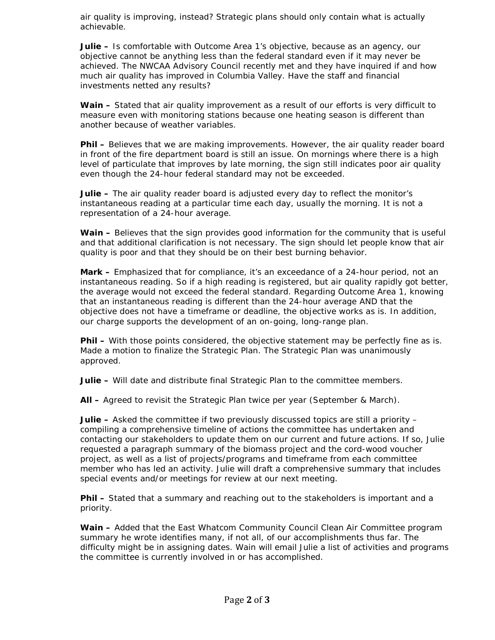air quality is improving, instead? Strategic plans should only contain what is actually achievable.

**Julie –** Is comfortable with Outcome Area 1's objective, because as an agency, our objective cannot be anything less than the federal standard even if it may never be achieved. The NWCAA Advisory Council recently met and they have inquired if and how much air quality has improved in Columbia Valley. Have the staff and financial investments netted any results?

**Wain –** Stated that air quality improvement as a result of our efforts is very difficult to measure even with monitoring stations because one heating season is different than another because of weather variables.

**Phil –** Believes that we are making improvements. However, the air quality reader board in front of the fire department board is still an issue. On mornings where there is a high level of particulate that improves by late morning, the sign still indicates poor air quality even though the 24-hour federal standard may not be exceeded.

**Julie –** The air quality reader board is adjusted every day to reflect the monitor's instantaneous reading at a particular time each day, usually the morning. It is not a representation of a 24-hour average.

**Wain –** Believes that the sign provides good information for the community that is useful and that additional clarification is not necessary. The sign should let people know that air quality is poor and that they should be on their best burning behavior.

**Mark –** Emphasized that for compliance, it's an exceedance of a 24-hour period, not an instantaneous reading. So if a high reading is registered, but air quality rapidly got better, the average would not exceed the federal standard. Regarding Outcome Area 1, knowing that an instantaneous reading is different than the 24-hour average AND that the objective does not have a timeframe or deadline, the objective works as is. In addition, our charge supports the development of an on-going, long-range plan.

**Phil –** With those points considered, the objective statement may be perfectly fine as is. Made a motion to finalize the Strategic Plan. The Strategic Plan was unanimously approved.

**Julie –** Will date and distribute final Strategic Plan to the committee members.

**All –** Agreed to revisit the Strategic Plan twice per year (September & March).

**Julie –** Asked the committee if two previously discussed topics are still a priority – compiling a comprehensive timeline of actions the committee has undertaken and contacting our stakeholders to update them on our current and future actions. If so, Julie requested a paragraph summary of the biomass project and the cord-wood voucher project, as well as a list of projects/programs and timeframe from each committee member who has led an activity. Julie will draft a comprehensive summary that includes special events and/or meetings for review at our next meeting.

**Phil –** Stated that a summary and reaching out to the stakeholders is important and a priority.

**Wain –** Added that the East Whatcom Community Council Clean Air Committee program summary he wrote identifies many, if not all, of our accomplishments thus far. The difficulty might be in assigning dates. Wain will email Julie a list of activities and programs the committee is currently involved in or has accomplished.